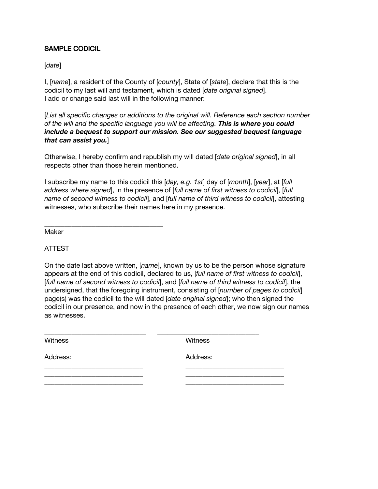## SAMPLE CODICIL

[*date*]

I, [*name*], a resident of the County of [*county*], State of [*state*], declare that this is the codicil to my last will and testament, which is dated [*date original signed*]. I add or change said last will in the following manner:

[*List all specific changes or additions to the original will. Reference each section number of the will and the specific language you will be affecting. This is where you could include a bequest to support our mission. See our suggested bequest language that can assist you.*]

Otherwise, I hereby confirm and republish my will dated [*date original signed*], in all respects other than those herein mentioned.

I subscribe my name to this codicil this [*day, e.g. 1st*] day of [*month*], [*year*], at [*full address where signed*], in the presence of [*full name of first witness to codicil*], [*full name of second witness to codicil*], and [*full name of third witness to codicil*], attesting witnesses, who subscribe their names here in my presence.

Maker

ATTEST

On the date last above written, [*name*], known by us to be the person whose signature appears at the end of this codicil, declared to us, [*full name of first witness to codicil*], [*full name of second witness to codicil*], and [*full name of third witness to codicil*], the undersigned, that the foregoing instrument, consisting of [*number of pages to codicil*] page(s) was the codicil to the will dated [*date original signed*]; who then signed the codicil in our presence, and now in the presence of each other, we now sign our names as witnesses.

\_\_\_\_\_\_\_\_\_\_\_\_\_\_\_\_\_\_\_\_\_\_\_\_\_\_\_\_\_\_ \_\_\_\_\_\_\_\_\_\_\_\_\_\_\_\_\_\_\_\_\_\_\_\_\_\_\_\_\_\_

\_\_\_\_\_\_\_\_\_\_\_\_\_\_\_\_\_\_\_\_\_\_\_\_\_\_\_\_\_ \_\_\_\_\_\_\_\_\_\_\_\_\_\_\_\_\_\_\_\_\_\_\_\_\_\_\_\_\_

Witness **Witness** Witness

Address: Address:

\_\_\_\_\_\_\_\_\_\_\_\_\_\_\_\_\_\_\_\_\_\_\_\_\_\_\_\_\_ \_\_\_\_\_\_\_\_\_\_\_\_\_\_\_\_\_\_\_\_\_\_\_\_\_\_\_\_\_ \_\_\_\_\_\_\_\_\_\_\_\_\_\_\_\_\_\_\_\_\_\_\_\_\_\_\_\_\_ \_\_\_\_\_\_\_\_\_\_\_\_\_\_\_\_\_\_\_\_\_\_\_\_\_\_\_\_\_

\_\_\_\_\_\_\_\_\_\_\_\_\_\_\_\_\_\_\_\_\_\_\_\_\_\_\_\_\_\_\_\_\_\_\_